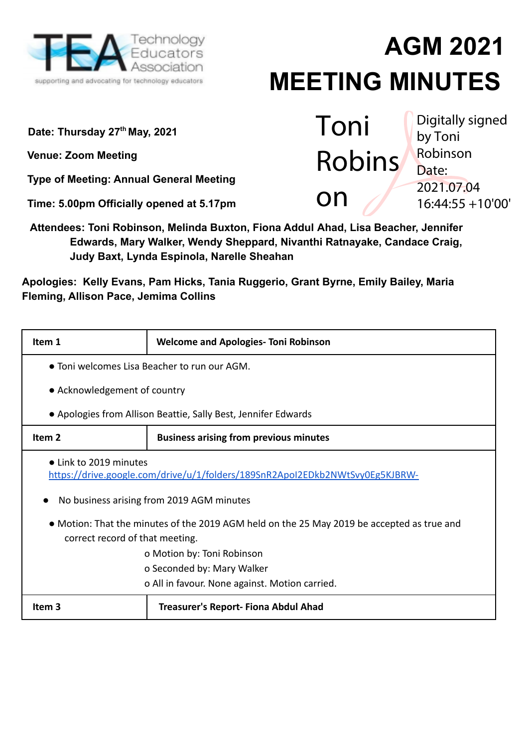

# **AGM 2021 MEETING MINUTES**

**Date: Thursday 27 th May, 2021**

**Venue: Zoom Meeting**

**Type of Meeting: Annual General Meeting**

**Time: 5.00pm Officially opened at 5.17pm**

**Attendees: Toni Robinson, Melinda Buxton, Fiona Addul Ahad, Lisa Beacher, Jennifer Edwards, Mary Walker, Wendy Sheppard, Nivanthi Ratnayake, Candace Craig, Judy Baxt, Lynda Espinola, Narelle Sheahan**

**Apologies: Kelly Evans, Pam Hicks, Tania Ruggerio, Grant Byrne, Emily Bailey, Maria Fleming, Allison Pace, Jemima Collins**

| Item 1                                                                                                                        | <b>Welcome and Apologies- Toni Robinson</b>                    |  |
|-------------------------------------------------------------------------------------------------------------------------------|----------------------------------------------------------------|--|
|                                                                                                                               | • Toni welcomes Lisa Beacher to run our AGM.                   |  |
| • Acknowledgement of country                                                                                                  |                                                                |  |
|                                                                                                                               | • Apologies from Allison Beattie, Sally Best, Jennifer Edwards |  |
| Item <sub>2</sub>                                                                                                             | <b>Business arising from previous minutes</b>                  |  |
| • Link to 2019 minutes<br>https://drive.google.com/drive/u/1/folders/189SnR2ApoI2EDkb2NWtSvy0Eg5KJBRW-                        |                                                                |  |
| No business arising from 2019 AGM minutes                                                                                     |                                                                |  |
| • Motion: That the minutes of the 2019 AGM held on the 25 May 2019 be accepted as true and<br>correct record of that meeting. |                                                                |  |
| o Motion by: Toni Robinson                                                                                                    |                                                                |  |
| o Seconded by: Mary Walker                                                                                                    |                                                                |  |
| o All in favour. None against. Motion carried.                                                                                |                                                                |  |
| Item <sub>3</sub>                                                                                                             | <b>Treasurer's Report- Fiona Abdul Ahad</b>                    |  |

Toni Robins on Digitally signed by Toni Robinson Date: 2021.07.04 16:44:55 +10'00'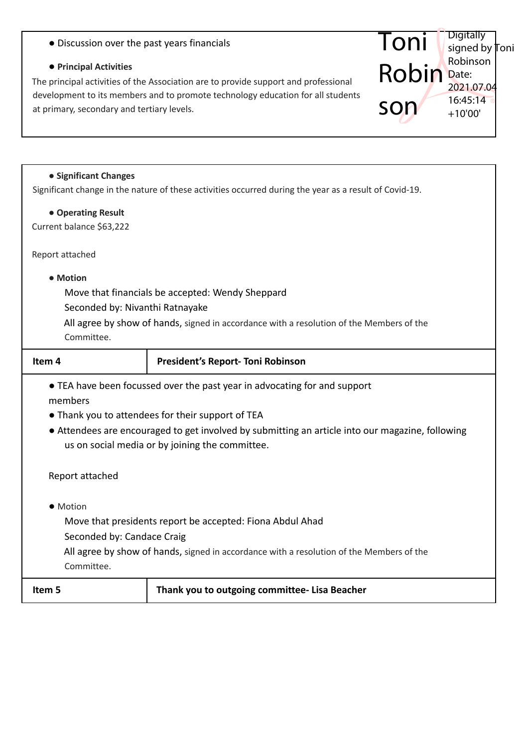| • Discussion over the past years financials |  |
|---------------------------------------------|--|
|---------------------------------------------|--|

# **● Principal Activities**

The principal activities of the Association are to provide support and professional development to its members and to promote technology education for all students at primary, secondary and tertiary levels.

#### **● Significant Changes**

Significant change in the nature of these activities occurred during the year as a result of Covid-19.

Toni

**Digitally** 

signed by Toni Robinson Date: 2021.07.04 16:45:14 +10'00'

Robin

son

## **● Operating Result**

Current balance \$63,222

Report attached

## **● Motion**

Move that financials be accepted: Wendy Sheppard

Seconded by: Nivanthi Ratnayake

All agree by show of hands, signed in accordance with a resolution of the Members of the Committee.

| Item 4                                                                                                                                                                                                                                                                                           | <b>President's Report-Toni Robinson</b>       |  |
|--------------------------------------------------------------------------------------------------------------------------------------------------------------------------------------------------------------------------------------------------------------------------------------------------|-----------------------------------------------|--|
| • TEA have been focussed over the past year in advocating for and support<br>members<br>• Thank you to attendees for their support of TEA<br>• Attendees are encouraged to get involved by submitting an article into our magazine, following<br>us on social media or by joining the committee. |                                               |  |
| Report attached                                                                                                                                                                                                                                                                                  |                                               |  |
| • Motion<br>Move that presidents report be accepted: Fiona Abdul Ahad<br>Seconded by: Candace Craig<br>All agree by show of hands, signed in accordance with a resolution of the Members of the<br>Committee.                                                                                    |                                               |  |
| Item 5                                                                                                                                                                                                                                                                                           | Thank you to outgoing committee- Lisa Beacher |  |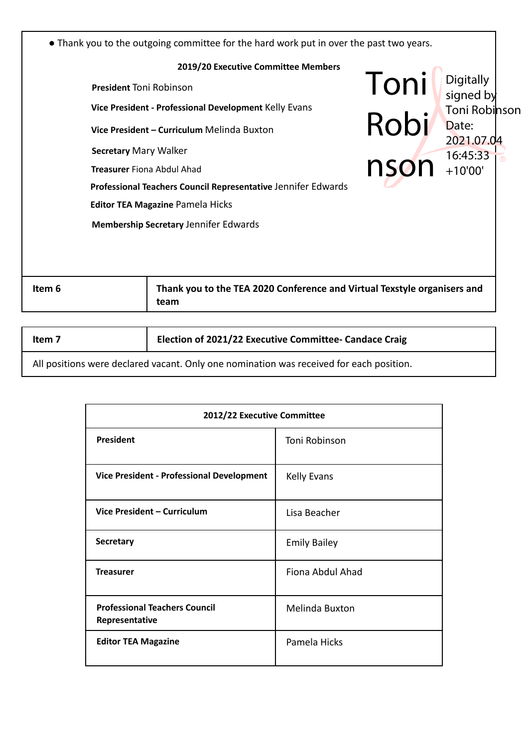| 2019/20 Executive Committee Members<br>Toni<br>Digitally<br>signed by<br><b>President Toni Robinson</b><br>Vice President - Professional Development Kelly Evans<br>Robi<br>Date:<br>Vice President – Curriculum Melinda Buxton<br>2021.07.04<br><b>Secretary Mary Walker</b><br>16:45:33<br>$n$ son $n^{10.4313}$<br><b>Treasurer Fiona Abdul Ahad</b><br>Professional Teachers Council Representative Jennifer Edwards<br><b>Editor TEA Magazine Pamela Hicks</b><br><b>Membership Secretary Jennifer Edwards</b><br>Thank you to the TEA 2020 Conference and Virtual Texstyle organisers and<br>Item 6<br>team | • Thank you to the outgoing committee for the hard work put in over the past two years. |  |  |
|-------------------------------------------------------------------------------------------------------------------------------------------------------------------------------------------------------------------------------------------------------------------------------------------------------------------------------------------------------------------------------------------------------------------------------------------------------------------------------------------------------------------------------------------------------------------------------------------------------------------|-----------------------------------------------------------------------------------------|--|--|
| Toni Robinson                                                                                                                                                                                                                                                                                                                                                                                                                                                                                                                                                                                                     |                                                                                         |  |  |
|                                                                                                                                                                                                                                                                                                                                                                                                                                                                                                                                                                                                                   |                                                                                         |  |  |
|                                                                                                                                                                                                                                                                                                                                                                                                                                                                                                                                                                                                                   |                                                                                         |  |  |
|                                                                                                                                                                                                                                                                                                                                                                                                                                                                                                                                                                                                                   |                                                                                         |  |  |
|                                                                                                                                                                                                                                                                                                                                                                                                                                                                                                                                                                                                                   |                                                                                         |  |  |
|                                                                                                                                                                                                                                                                                                                                                                                                                                                                                                                                                                                                                   |                                                                                         |  |  |
|                                                                                                                                                                                                                                                                                                                                                                                                                                                                                                                                                                                                                   |                                                                                         |  |  |
|                                                                                                                                                                                                                                                                                                                                                                                                                                                                                                                                                                                                                   |                                                                                         |  |  |
|                                                                                                                                                                                                                                                                                                                                                                                                                                                                                                                                                                                                                   |                                                                                         |  |  |
|                                                                                                                                                                                                                                                                                                                                                                                                                                                                                                                                                                                                                   |                                                                                         |  |  |
|                                                                                                                                                                                                                                                                                                                                                                                                                                                                                                                                                                                                                   |                                                                                         |  |  |
|                                                                                                                                                                                                                                                                                                                                                                                                                                                                                                                                                                                                                   |                                                                                         |  |  |
|                                                                                                                                                                                                                                                                                                                                                                                                                                                                                                                                                                                                                   |                                                                                         |  |  |

|  | Item 7 | <b>Election of 2021/22 Executive Committee- Candace Craig</b> |
|--|--------|---------------------------------------------------------------|
|--|--------|---------------------------------------------------------------|

All positions were declared vacant. Only one nomination was received for each position.

| 2012/22 Executive Committee                            |                       |
|--------------------------------------------------------|-----------------------|
| President                                              | Toni Robinson         |
| Vice President - Professional Development              | <b>Kelly Evans</b>    |
| Vice President - Curriculum                            | Lisa Beacher          |
| <b>Secretary</b>                                       | <b>Emily Bailey</b>   |
| <b>Treasurer</b>                                       | Fiona Abdul Ahad      |
| <b>Professional Teachers Council</b><br>Representative | <b>Melinda Buxton</b> |
| <b>Editor TEA Magazine</b>                             | Pamela Hicks          |